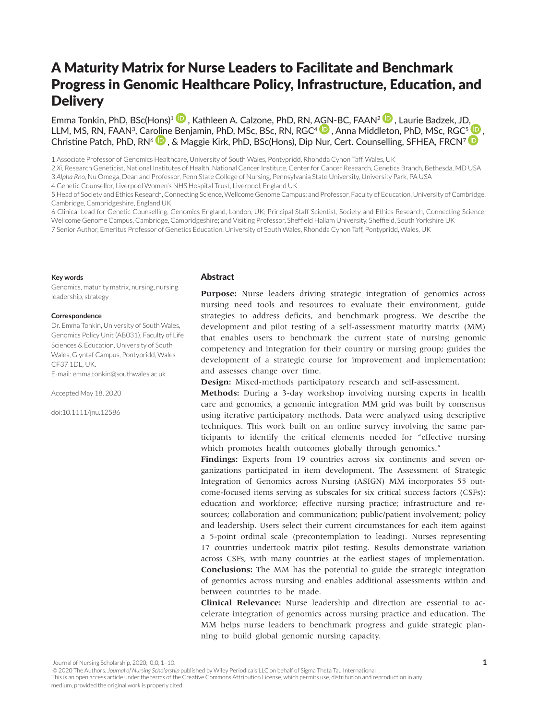# A Maturity Matrix for Nurse Leaders to Facilitate and Benchmark Progress in Genomic Healthcare Policy, Infrastructure, Education, and **Delivery**

Emma Tonkin, PhD, BSc(Hons)<sup>[1](https://orcid.org/0000-0001-5759-0927)</sup> **D**, Kathleen A. Calzone, PhD, RN, [AGN](https://orcid.org/0000-0002-0021-3650)-BC, FAAN<sup>2</sup> **D**, Laurie Badzek, JD, LLM, MS, RN, FAAN<sup>3</sup>, Car[olin](https://orcid.org/0000-0002-4191-0663)e Benjamin, PhD, MSc, BSc, RN, RGC<sup>4</sup> , Anna Middleton, PhD, MSc, RGC<sup>5</sup> , Christine Patch, PhD, RN<sup>6</sup> <sup>1</sup>, & Maggie Kirk, PhD, BSc(Hons), Dip Nur, Cert. Counselling, SFHEA, FRCN<sup>7</sup> <sup>1</sup>

1 Associate Professor of Genomics Healthcare, University of South Wales, Pontypridd, Rhondda Cynon Taff, Wales, UK

2 *Xi*, Research Geneticist, National Institutes of Health, National Cancer Institute, Center for Cancer Research, Genetics Branch, Bethesda, MD USA 3 *Alpha Rho*, Nu Omega, Dean and Professor, Penn State College of Nursing, Pennsylvania State University, University Park, PA USA

4 Genetic Counsellor, Liverpool Women's NHS Hospital Trust, Liverpool, England UK

5 Head of Society and Ethics Research, Connecting Science, Wellcome Genome Campus; and Professor, Faculty of Education, University of Cambridge, Cambridge, Cambridgeshire, England UK

6 Clinical Lead for Genetic Counselling, Genomics England, London, UK; Principal Staff Scientist, Society and Ethics Research, Connecting Science, Wellcome Genome Campus, Cambridge, Cambridgeshire; and Visiting Professor, Sheffield Hallam University, Sheffield, South Yorkshire UK 7 Senior Author, Emeritus Professor of Genetics Education, University of South Wales, Rhondda Cynon Taff, Pontypridd, Wales, UK

#### **Key words**

Genomics, maturity matrix, nursing, nursing leadership, strategy

#### **Correspondence**

Dr. Emma Tonkin, University of South Wales, Genomics Policy Unit (AB031), Faculty of Life Sciences & Education, University of South Wales, Glyntaf Campus, Pontypridd, Wales CF37 1DL, UK. E-mail: [emma.tonkin@southwales.ac.uk](mailto:emma.tonkin@southwales.ac.uk)

Accepted May 18, 2020

doi:10.1111/jnu.12586

# **Abstract**

Purpose: Nurse leaders driving strategic integration of genomics across nursing need tools and resources to evaluate their environment, guide strategies to address deficits, and benchmark progress. We describe the development and pilot testing of a self-assessment maturity matrix (MM) that enables users to benchmark the current state of nursing genomic competency and integration for their country or nursing group; guides the development of a strategic course for improvement and implementation; and assesses change over time.

**Design:** Mixed-methods participatory research and self-assessment.

**Methods:** During a 3-day workshop involving nursing experts in health care and genomics, a genomic integration MM grid was built by consensus using iterative participatory methods. Data were analyzed using descriptive techniques. This work built on an online survey involving the same participants to identify the critical elements needed for "effective nursing which promotes health outcomes globally through genomics."

Findings: Experts from 19 countries across six continents and seven organizations participated in item development. The Assessment of Strategic Integration of Genomics across Nursing (ASIGN) MM incorporates 55 outcome-focused items serving as subscales for six critical success factors (CSFs): education and workforce; effective nursing practice; infrastructure and resources; collaboration and communication; public/patient involvement; policy and leadership. Users select their current circumstances for each item against a 5-point ordinal scale (precontemplation to leading). Nurses representing 17 countries undertook matrix pilot testing. Results demonstrate variation across CSFs, with many countries at the earliest stages of implementation. **Conclusions:** The MM has the potential to guide the strategic integration of genomics across nursing and enables additional assessments within and between countries to be made.

**Clinical Relevance:** Nurse leadership and direction are essential to accelerate integration of genomics across nursing practice and education. The MM helps nurse leaders to benchmark progress and guide strategic planning to build global genomic nursing capacity.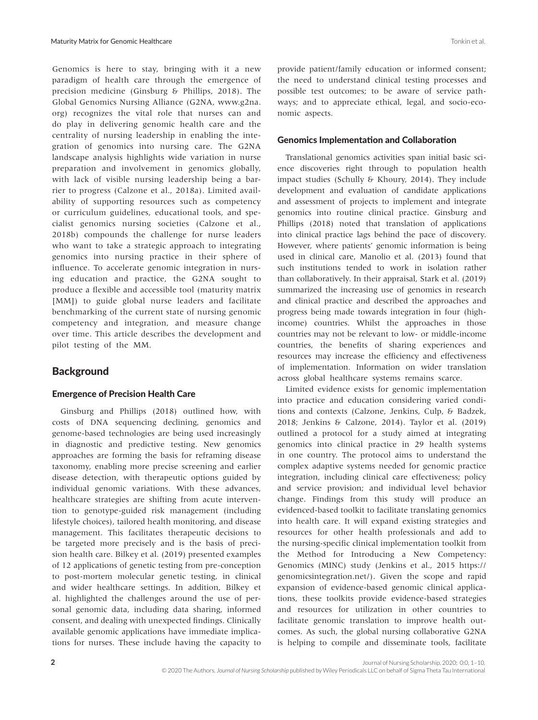Genomics is here to stay, bringing with it a new paradigm of health care through the emergence of precision medicine (Ginsburg & Phillips, 2018). The Global Genomics Nursing Alliance (G2NA, [www.g2na.](http://www.g2na.org) [org](http://www.g2na.org)) recognizes the vital role that nurses can and do play in delivering genomic health care and the centrality of nursing leadership in enabling the integration of genomics into nursing care. The G2NA landscape analysis highlights wide variation in nurse preparation and involvement in genomics globally, with lack of visible nursing leadership being a barrier to progress (Calzone et al., 2018a). Limited availability of supporting resources such as competency or curriculum guidelines, educational tools, and specialist genomics nursing societies (Calzone et al., 2018b) compounds the challenge for nurse leaders who want to take a strategic approach to integrating genomics into nursing practice in their sphere of influence. To accelerate genomic integration in nursing education and practice, the G2NA sought to produce a flexible and accessible tool (maturity matrix [MM]) to guide global nurse leaders and facilitate benchmarking of the current state of nursing genomic competency and integration, and measure change over time. This article describes the development and pilot testing of the MM.

# **Background**

# Emergence of Precision Health Care

Ginsburg and Phillips (2018) outlined how, with costs of DNA sequencing declining, genomics and genome-based technologies are being used increasingly in diagnostic and predictive testing. New genomics approaches are forming the basis for reframing disease taxonomy, enabling more precise screening and earlier disease detection, with therapeutic options guided by individual genomic variations. With these advances, healthcare strategies are shifting from acute intervention to genotype-guided risk management (including lifestyle choices), tailored health monitoring, and disease management. This facilitates therapeutic decisions to be targeted more precisely and is the basis of precision health care. Bilkey et al. (2019) presented examples of 12 applications of genetic testing from pre-conception to post-mortem molecular genetic testing, in clinical and wider healthcare settings. In addition, Bilkey et al. highlighted the challenges around the use of personal genomic data, including data sharing, informed consent, and dealing with unexpected findings. Clinically available genomic applications have immediate implications for nurses. These include having the capacity to provide patient/family education or informed consent; the need to understand clinical testing processes and possible test outcomes; to be aware of service pathways; and to appreciate ethical, legal, and socio-economic aspects.

#### Genomics Implementation and Collaboration

Translational genomics activities span initial basic science discoveries right through to population health impact studies (Schully & Khoury, 2014). They include development and evaluation of candidate applications and assessment of projects to implement and integrate genomics into routine clinical practice. Ginsburg and Phillips (2018) noted that translation of applications into clinical practice lags behind the pace of discovery. However, where patients' genomic information is being used in clinical care, Manolio et al. (2013) found that such institutions tended to work in isolation rather than collaboratively. In their appraisal, Stark et al. (2019) summarized the increasing use of genomics in research and clinical practice and described the approaches and progress being made towards integration in four (highincome) countries. Whilst the approaches in those countries may not be relevant to low- or middle-income countries, the benefits of sharing experiences and resources may increase the efficiency and effectiveness of implementation. Information on wider translation across global healthcare systems remains scarce.

Limited evidence exists for genomic implementation into practice and education considering varied conditions and contexts (Calzone, Jenkins, Culp, & Badzek, 2018; Jenkins & Calzone, 2014). Taylor et al. (2019) outlined a protocol for a study aimed at integrating genomics into clinical practice in 29 health systems in one country. The protocol aims to understand the complex adaptive systems needed for genomic practice integration, including clinical care effectiveness; policy and service provision; and individual level behavior change. Findings from this study will produce an evidenced-based toolkit to facilitate translating genomics into health care. It will expand existing strategies and resources for other health professionals and add to the nursing-specific clinical implementation toolkit from the Method for Introducing a New Competency: Genomics (MINC) study (Jenkins et al., 2015 [https://](https://genomicsintegration.net/) [genomicsintegration.net/](https://genomicsintegration.net/)). Given the scope and rapid expansion of evidence-based genomic clinical applications, these toolkits provide evidence-based strategies and resources for utilization in other countries to facilitate genomic translation to improve health outcomes. As such, the global nursing collaborative G2NA is helping to compile and disseminate tools, facilitate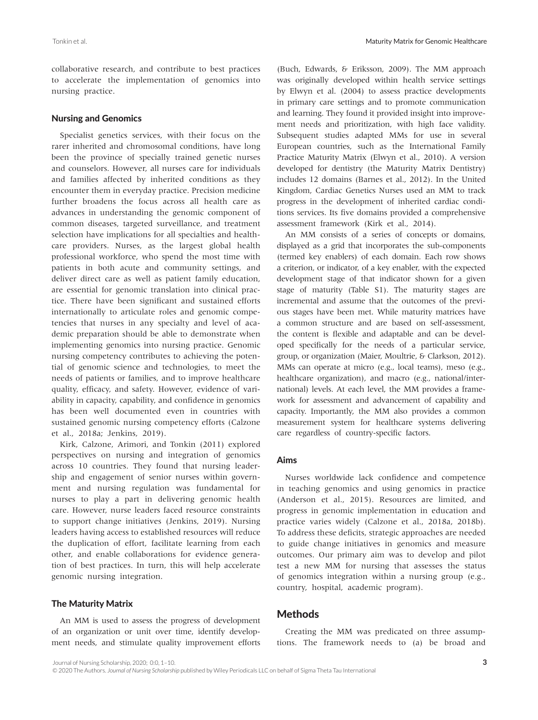collaborative research, and contribute to best practices to accelerate the implementation of genomics into nursing practice.

#### Nursing and Genomics

Specialist genetics services, with their focus on the rarer inherited and chromosomal conditions, have long been the province of specially trained genetic nurses and counselors. However, all nurses care for individuals and families affected by inherited conditions as they encounter them in everyday practice. Precision medicine further broadens the focus across all health care as advances in understanding the genomic component of common diseases, targeted surveillance, and treatment selection have implications for all specialties and healthcare providers. Nurses, as the largest global health professional workforce, who spend the most time with patients in both acute and community settings, and deliver direct care as well as patient family education, are essential for genomic translation into clinical practice. There have been significant and sustained efforts internationally to articulate roles and genomic competencies that nurses in any specialty and level of academic preparation should be able to demonstrate when implementing genomics into nursing practice. Genomic nursing competency contributes to achieving the potential of genomic science and technologies, to meet the needs of patients or families, and to improve healthcare quality, efficacy, and safety. However, evidence of variability in capacity, capability, and confidence in genomics has been well documented even in countries with sustained genomic nursing competency efforts (Calzone et al., 2018a; Jenkins, 2019).

Kirk, Calzone, Arimori, and Tonkin (2011) explored perspectives on nursing and integration of genomics across 10 countries. They found that nursing leadership and engagement of senior nurses within government and nursing regulation was fundamental for nurses to play a part in delivering genomic health care. However, nurse leaders faced resource constraints to support change initiatives (Jenkins, 2019). Nursing leaders having access to established resources will reduce the duplication of effort, facilitate learning from each other, and enable collaborations for evidence generation of best practices. In turn, this will help accelerate genomic nursing integration.

#### The Maturity Matrix

An MM is used to assess the progress of development of an organization or unit over time, identify development needs, and stimulate quality improvement efforts

(Buch, Edwards, & Eriksson, 2009). The MM approach was originally developed within health service settings by Elwyn et al. (2004) to assess practice developments in primary care settings and to promote communication and learning. They found it provided insight into improvement needs and prioritization, with high face validity. Subsequent studies adapted MMs for use in several European countries, such as the International Family Practice Maturity Matrix (Elwyn et al., 2010). A version developed for dentistry (the Maturity Matrix Dentistry) includes 12 domains (Barnes et al., 2012). In the United Kingdom, Cardiac Genetics Nurses used an MM to track progress in the development of inherited cardiac conditions services. Its five domains provided a comprehensive assessment framework (Kirk et al., 2014).

An MM consists of a series of concepts or domains, displayed as a grid that incorporates the sub-components (termed key enablers) of each domain. Each row shows a criterion, or indicator, of a key enabler, with the expected development stage of that indicator shown for a given stage of maturity (Table S1). The maturity stages are incremental and assume that the outcomes of the previous stages have been met. While maturity matrices have a common structure and are based on self-assessment, the content is flexible and adaptable and can be developed specifically for the needs of a particular service, group, or organization (Maier, Moultrie, & Clarkson, 2012). MMs can operate at micro (e.g., local teams), meso (e.g., healthcare organization), and macro (e.g., national/international) levels. At each level, the MM provides a framework for assessment and advancement of capability and capacity. Importantly, the MM also provides a common measurement system for healthcare systems delivering care regardless of country-specific factors.

#### Aims

Nurses worldwide lack confidence and competence in teaching genomics and using genomics in practice (Anderson et al., 2015). Resources are limited, and progress in genomic implementation in education and practice varies widely (Calzone et al., 2018a, 2018b). To address these deficits, strategic approaches are needed to guide change initiatives in genomics and measure outcomes. Our primary aim was to develop and pilot test a new MM for nursing that assesses the status of genomics integration within a nursing group (e.g., country, hospital, academic program).

# Methods

Creating the MM was predicated on three assumptions. The framework needs to (a) be broad and

© 2020 The Authors. *Journal of Nursing Scholarship* published by Wiley Periodicals LLC on behalf of Sigma Theta Tau International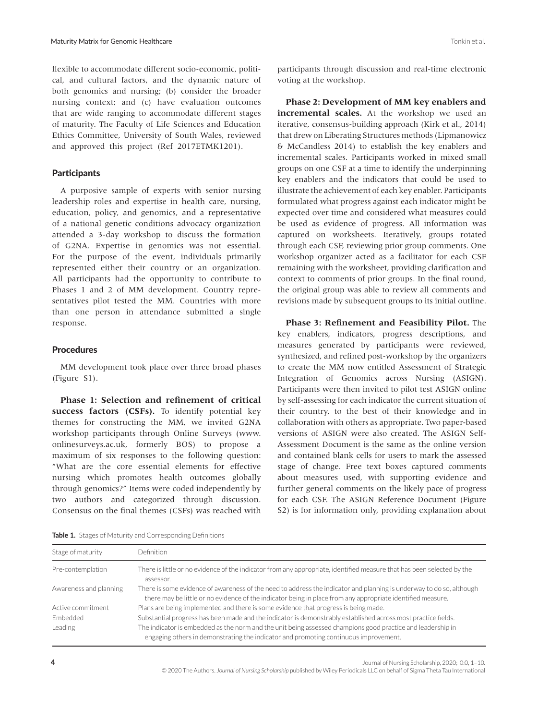flexible to accommodate different socio-economic, political, and cultural factors, and the dynamic nature of both genomics and nursing; (b) consider the broader nursing context; and (c) have evaluation outcomes that are wide ranging to accommodate different stages of maturity. The Faculty of Life Sciences and Education Ethics Committee, University of South Wales, reviewed and approved this project (Ref 2017ETMK1201).

### **Participants**

A purposive sample of experts with senior nursing leadership roles and expertise in health care, nursing, education, policy, and genomics, and a representative of a national genetic conditions advocacy organization attended a 3-day workshop to discuss the formation of G2NA. Expertise in genomics was not essential. For the purpose of the event, individuals primarily represented either their country or an organization. All participants had the opportunity to contribute to Phases 1 and 2 of MM development. Country representatives pilot tested the MM. Countries with more than one person in attendance submitted a single response.

### **Procedures**

MM development took place over three broad phases (Figure S1).

**Phase 1: Selection and refinement of critical**  success factors (CSFs). To identify potential key themes for constructing the MM, we invited G2NA workshop participants through Online Surveys [\(www.](http://www.onlinesurveys.ac.uk) [onlinesurveys.ac.uk](http://www.onlinesurveys.ac.uk), formerly BOS) to propose a maximum of six responses to the following question: "What are the core essential elements for effective nursing which promotes health outcomes globally through genomics?" Items were coded independently by two authors and categorized through discussion. Consensus on the final themes (CSFs) was reached with participants through discussion and real-time electronic voting at the workshop.

**Phase 2: Development of MM key enablers and incremental scales.** At the workshop we used an iterative, consensus-building approach (Kirk et al., 2014) that drew on Liberating Structures methods (Lipmanowicz & McCandless 2014) to establish the key enablers and incremental scales. Participants worked in mixed small groups on one CSF at a time to identify the underpinning key enablers and the indicators that could be used to illustrate the achievement of each key enabler. Participants formulated what progress against each indicator might be expected over time and considered what measures could be used as evidence of progress. All information was captured on worksheets. Iteratively, groups rotated through each CSF, reviewing prior group comments. One workshop organizer acted as a facilitator for each CSF remaining with the worksheet, providing clarification and context to comments of prior groups. In the final round, the original group was able to review all comments and revisions made by subsequent groups to its initial outline.

**Phase 3: Refinement and Feasibility Pilot.** The key enablers, indicators, progress descriptions, and measures generated by participants were reviewed, synthesized, and refined post-workshop by the organizers to create the MM now entitled Assessment of Strategic Integration of Genomics across Nursing (ASIGN). Participants were then invited to pilot test ASIGN online by self-assessing for each indicator the current situation of their country, to the best of their knowledge and in collaboration with others as appropriate. Two paper-based versions of ASIGN were also created. The ASIGN Self-Assessment Document is the same as the online version and contained blank cells for users to mark the assessed stage of change. Free text boxes captured comments about measures used, with supporting evidence and further general comments on the likely pace of progress for each CSF. The ASIGN Reference Document (Figure S2) is for information only, providing explanation about

**Table 1.** Stages of Maturity and Corresponding Definitions

Stage of maturity Definition

| Pre-contemplation      | There is little or no evidence of the indicator from any appropriate, identified measure that has been selected by the<br>assessor.                                                                                                 |
|------------------------|-------------------------------------------------------------------------------------------------------------------------------------------------------------------------------------------------------------------------------------|
| Awareness and planning | There is some evidence of awareness of the need to address the indicator and planning is underway to do so, although<br>there may be little or no evidence of the indicator being in place from any appropriate identified measure. |
| Active commitment      | Plans are being implemented and there is some evidence that progress is being made.                                                                                                                                                 |
| Embedded               | Substantial progress has been made and the indicator is demonstrably established across most practice fields.                                                                                                                       |
| Leading                | The indicator is embedded as the norm and the unit being assessed champions good practice and leadership in<br>engaging others in demonstrating the indicator and promoting continuous improvement.                                 |

**4** Journal of Nursing Scholarship, 2020; 0:0, 1–10. © 2020 The Authors. *Journal of Nursing Scholarship* published by Wiley Periodicals LLC on behalf of Sigma Theta Tau International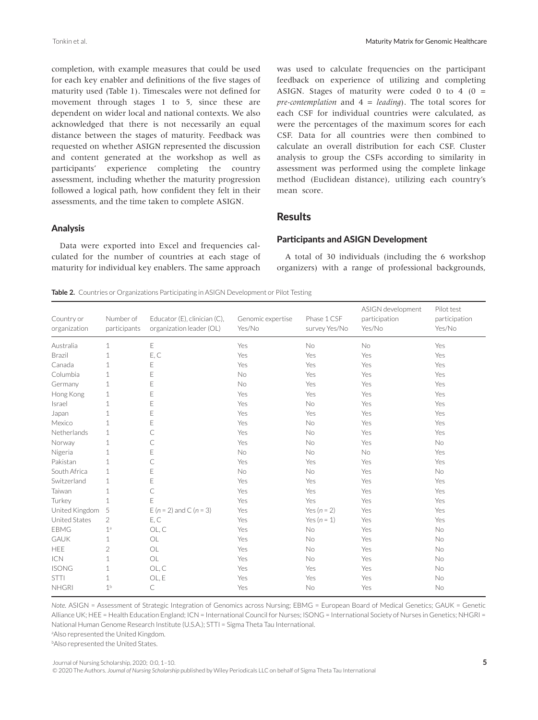completion, with example measures that could be used for each key enabler and definitions of the five stages of maturity used (Table 1). Timescales were not defined for movement through stages 1 to 5, since these are dependent on wider local and national contexts. We also acknowledged that there is not necessarily an equal distance between the stages of maturity. Feedback was requested on whether ASIGN represented the discussion and content generated at the workshop as well as participants' experience completing the country assessment, including whether the maturity progression followed a logical path, how confident they felt in their assessments, and the time taken to complete ASIGN.

#### Analysis

Data were exported into Excel and frequencies calculated for the number of countries at each stage of maturity for individual key enablers. The same approach was used to calculate frequencies on the participant feedback on experience of utilizing and completing ASIGN. Stages of maturity were coded 0 to 4 ( $0 =$ *pre-contemplation* and 4 = *leading*). The total scores for each CSF for individual countries were calculated, as were the percentages of the maximum scores for each CSF. Data for all countries were then combined to calculate an overall distribution for each CSF. Cluster analysis to group the CSFs according to similarity in assessment was performed using the complete linkage method (Euclidean distance), utilizing each country's mean score.

# **Results**

#### Participants and ASIGN Development

A total of 30 individuals (including the 6 workshop organizers) with a range of professional backgrounds,

**Table 2.** Countries or Organizations Participating in ASIGN Development or Pilot Testing

| Country or<br>organization | Number of<br>participants | Educator (E), clinician (C),<br>organization leader (OL) | Genomic expertise<br>Yes/No | Phase 1 CSF<br>survey Yes/No | ASIGN development<br>participation<br>Yes/No | Pilot test<br>participation<br>Yes/No |
|----------------------------|---------------------------|----------------------------------------------------------|-----------------------------|------------------------------|----------------------------------------------|---------------------------------------|
| Australia                  | $\mathbf{1}$              | E                                                        | Yes                         | No                           | No                                           | Yes                                   |
| <b>Brazil</b>              | $\mathbf{1}$              | E, C                                                     | Yes                         | Yes                          | Yes                                          | Yes                                   |
| Canada                     | $\mathbf{1}$              | Ε                                                        | Yes                         | Yes                          | Yes                                          | Yes                                   |
| Columbia                   | 1                         | E                                                        | <b>No</b>                   | Yes                          | Yes                                          | Yes                                   |
| Germany                    | $\mathbf{1}$              | E                                                        | No                          | Yes                          | Yes                                          | Yes                                   |
| Hong Kong                  | $\mathbf{1}$              | E                                                        | Yes                         | Yes                          | Yes                                          | Yes                                   |
| Israel                     | $\mathbf{1}$              | E                                                        | Yes                         | No                           | Yes                                          | Yes                                   |
| Japan                      | $\mathbf{1}$              | E                                                        | Yes                         | Yes                          | Yes                                          | Yes                                   |
| Mexico                     | $\mathbf{1}$              | E                                                        | Yes                         | No                           | Yes                                          | Yes                                   |
| Netherlands                | 1                         | C                                                        | Yes                         | No                           | Yes                                          | Yes                                   |
| Norway                     | $\mathbf 1$               | C                                                        | Yes                         | No                           | Yes                                          | No                                    |
| Nigeria                    | $\mathbf{1}$              | E                                                        | <b>No</b>                   | No                           | <b>No</b>                                    | Yes                                   |
| Pakistan                   | $\mathbf{1}$              | C                                                        | Yes                         | Yes                          | Yes                                          | Yes                                   |
| South Africa               | 1                         | E                                                        | No                          | No                           | Yes                                          | No                                    |
| Switzerland                | $\mathbf{1}$              | E                                                        | Yes                         | Yes                          | Yes                                          | Yes                                   |
| Taiwan                     | $\mathbf{1}$              | C                                                        | Yes                         | Yes                          | Yes                                          | Yes                                   |
| Turkey                     | $\mathbf{1}$              | E                                                        | Yes                         | Yes                          | Yes                                          | Yes                                   |
| United Kingdom             | 5                         | E ( $n = 2$ ) and C ( $n = 3$ )                          | Yes                         | Yes $(n = 2)$                | Yes                                          | Yes                                   |
| United States              | $\overline{2}$            | E, C                                                     | Yes                         | Yes $(n = 1)$                | Yes                                          | Yes                                   |
| <b>EBMG</b>                | 1 <sup>a</sup>            | OL, C                                                    | Yes                         | No                           | Yes                                          | No                                    |
| <b>GAUK</b>                | $\mathbf{1}$              | OL                                                       | Yes                         | No                           | Yes                                          | No                                    |
| HEE                        | $\overline{2}$            | OL                                                       | Yes                         | <b>No</b>                    | Yes                                          | <b>No</b>                             |
| <b>ICN</b>                 | $\mathbf{1}$              | OL                                                       | Yes                         | <b>No</b>                    | Yes                                          | <b>No</b>                             |
| <b>ISONG</b>               | 1                         | OL, C                                                    | Yes                         | Yes                          | Yes                                          | <b>No</b>                             |
| <b>STTI</b>                | $\mathbf{1}$              | OL, E                                                    | Yes                         | Yes                          | Yes                                          | No                                    |
| <b>NHGRI</b>               | 1 <sup>b</sup>            | С                                                        | Yes                         | No                           | Yes                                          | No                                    |

*Note.* ASIGN = Assessment of Strategic Integration of Genomics across Nursing; EBMG = European Board of Medical Genetics; GAUK = Genetic Alliance UK; HEE = Health Education England; ICN = International Council for Nurses; ISONG = International Society of Nurses in Genetics; NHGRI = National Human Genome Research Institute (U.S.A.); STTI = Sigma Theta Tau International.

aAlso represented the United Kingdom.

**Also represented the United States.** 

© 2020 The Authors. *Journal of Nursing Scholarship* published by Wiley Periodicals LLC on behalf of Sigma Theta Tau International

Journal of Nursing Scholarship, 2020; 0:0, 1–10. **5**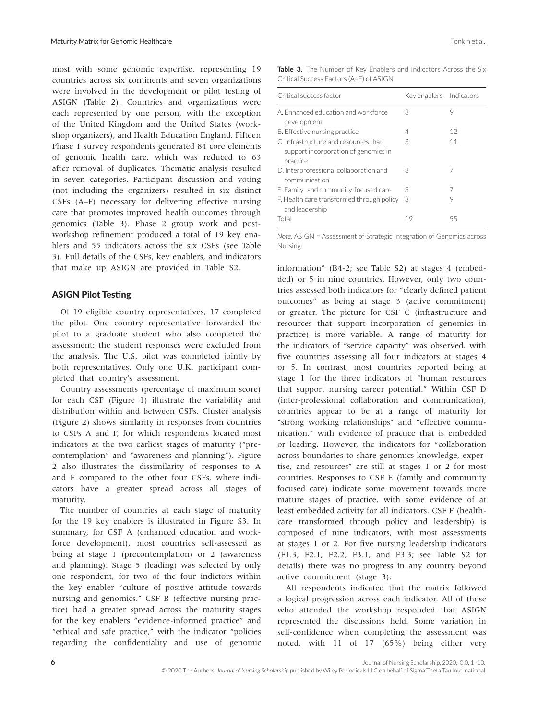most with some genomic expertise, representing 19 countries across six continents and seven organizations were involved in the development or pilot testing of ASIGN (Table 2). Countries and organizations were each represented by one person, with the exception of the United Kingdom and the United States (workshop organizers), and Health Education England. Fifteen Phase 1 survey respondents generated 84 core elements of genomic health care, which was reduced to 63 after removal of duplicates. Thematic analysis resulted in seven categories. Participant discussion and voting (not including the organizers) resulted in six distinct CSFs (A–F) necessary for delivering effective nursing care that promotes improved health outcomes through genomics (Table 3). Phase 2 group work and postworkshop refinement produced a total of 19 key enablers and 55 indicators across the six CSFs (see Table 3). Full details of the CSFs, key enablers, and indicators that make up ASIGN are provided in Table S2.

### ASIGN Pilot Testing

Of 19 eligible country representatives, 17 completed the pilot. One country representative forwarded the pilot to a graduate student who also completed the assessment; the student responses were excluded from the analysis. The U.S. pilot was completed jointly by both representatives. Only one U.K. participant completed that country's assessment.

Country assessments (percentage of maximum score) for each CSF (Figure 1) illustrate the variability and distribution within and between CSFs. Cluster analysis (Figure 2) shows similarity in responses from countries to CSFs A and F, for which respondents located most indicators at the two earliest stages of maturity ("precontemplation" and "awareness and planning"). Figure 2 also illustrates the dissimilarity of responses to A and F compared to the other four CSFs, where indicators have a greater spread across all stages of maturity.

The number of countries at each stage of maturity for the 19 key enablers is illustrated in Figure S3. In summary, for CSF A (enhanced education and workforce development), most countries self-assessed as being at stage 1 (precontemplation) or 2 (awareness and planning). Stage 5 (leading) was selected by only one respondent, for two of the four indictors within the key enabler "culture of positive attitude towards nursing and genomics." CSF B (effective nursing practice) had a greater spread across the maturity stages for the key enablers "evidence-informed practice" and "ethical and safe practice," with the indicator "policies regarding the confidentiality and use of genomic

**Table 3.** The Number of Key Enablers and Indicators Across the Six Critical Success Factors (A–F) of ASIGN

| Critical success factor                                                                  | Key enablers Indicators |    |
|------------------------------------------------------------------------------------------|-------------------------|----|
| A. Enhanced education and workforce<br>development                                       | 3                       | 9  |
| B. Effective nursing practice                                                            | 4                       | 12 |
| C. Infrastructure and resources that<br>support incorporation of genomics in<br>practice | 3                       | 11 |
| D. Interprofessional collaboration and<br>communication                                  | 3                       | 7  |
| E. Family- and community-focused care                                                    | 3                       | 7  |
| F. Health care transformed through policy<br>and leadership                              | 3                       | 9  |
| Total                                                                                    | 19                      | 55 |

*Note.* ASIGN = Assessment of Strategic Integration of Genomics across Nursing.

information" (B4-2; see Table S2) at stages 4 (embedded) or 5 in nine countries. However, only two countries assessed both indicators for "clearly defined patient outcomes" as being at stage 3 (active commitment) or greater. The picture for CSF C (infrastructure and resources that support incorporation of genomics in practice) is more variable. A range of maturity for the indicators of "service capacity" was observed, with five countries assessing all four indicators at stages 4 or 5. In contrast, most countries reported being at stage 1 for the three indicators of "human resources that support nursing career potential." Within CSF D (inter-professional collaboration and communication), countries appear to be at a range of maturity for "strong working relationships" and "effective communication," with evidence of practice that is embedded or leading. However, the indicators for "collaboration across boundaries to share genomics knowledge, expertise, and resources" are still at stages 1 or 2 for most countries. Responses to CSF E (family and community focused care) indicate some movement towards more mature stages of practice, with some evidence of at least embedded activity for all indicators. CSF F (healthcare transformed through policy and leadership) is composed of nine indicators, with most assessments at stages 1 or 2. For five nursing leadership indicators (F1.3, F2.1, F2.2, F3.1, and F3.3; see Table S2 for details) there was no progress in any country beyond active commitment (stage 3).

All respondents indicated that the matrix followed a logical progression across each indicator. All of those who attended the workshop responded that ASIGN represented the discussions held. Some variation in self-confidence when completing the assessment was noted, with 11 of 17 (65%) being either very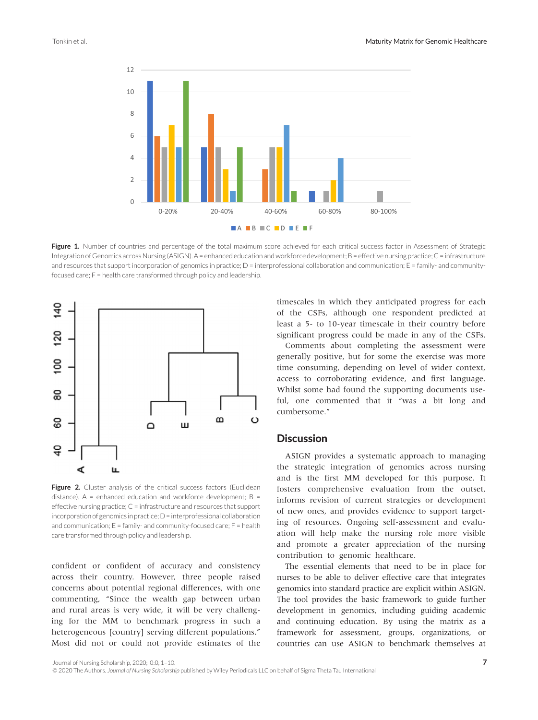

Figure 1. Number of countries and percentage of the total maximum score achieved for each critical success factor in Assessment of Strategic Integration of Genomics across Nursing (ASIGN). A = enhanced education and workforce development; B = effective nursing practice; C = infrastructure and resources that support incorporation of genomics in practice; D = interprofessional collaboration and communication; E = family- and communityfocused care; F = health care transformed through policy and leadership.



Figure 2. Cluster analysis of the critical success factors (Euclidean distance).  $A =$  enhanced education and workforce development;  $B =$ effective nursing practice;  $C =$  infrastructure and resources that support incorporation of genomics in practice; D = interprofessional collaboration and communication;  $E = \text{family}$ - and community-focused care;  $F = \text{health}$ care transformed through policy and leadership.

confident or confident of accuracy and consistency across their country. However, three people raised concerns about potential regional differences, with one commenting, "Since the wealth gap between urban and rural areas is very wide, it will be very challenging for the MM to benchmark progress in such a heterogeneous [country] serving different populations." Most did not or could not provide estimates of the

timescales in which they anticipated progress for each of the CSFs, although one respondent predicted at least a 5- to 10-year timescale in their country before significant progress could be made in any of the CSFs.

Comments about completing the assessment were generally positive, but for some the exercise was more time consuming, depending on level of wider context, access to corroborating evidence, and first language. Whilst some had found the supporting documents useful, one commented that it "was a bit long and cumbersome."

# **Discussion**

ASIGN provides a systematic approach to managing the strategic integration of genomics across nursing and is the first MM developed for this purpose. It fosters comprehensive evaluation from the outset, informs revision of current strategies or development of new ones, and provides evidence to support targeting of resources. Ongoing self-assessment and evaluation will help make the nursing role more visible and promote a greater appreciation of the nursing contribution to genomic healthcare.

The essential elements that need to be in place for nurses to be able to deliver effective care that integrates genomics into standard practice are explicit within ASIGN. The tool provides the basic framework to guide further development in genomics, including guiding academic and continuing education. By using the matrix as a framework for assessment, groups, organizations, or countries can use ASIGN to benchmark themselves at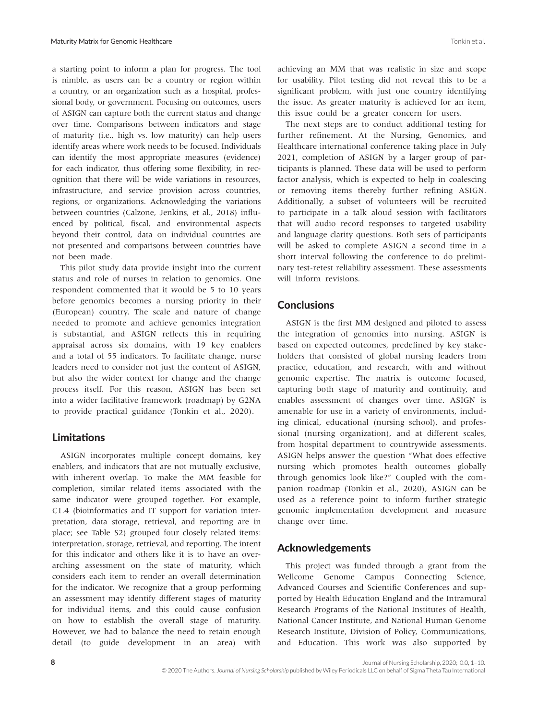a starting point to inform a plan for progress. The tool is nimble, as users can be a country or region within a country, or an organization such as a hospital, professional body, or government. Focusing on outcomes, users of ASIGN can capture both the current status and change over time. Comparisons between indicators and stage of maturity (i.e., high vs. low maturity) can help users identify areas where work needs to be focused. Individuals can identify the most appropriate measures (evidence) for each indicator, thus offering some flexibility, in recognition that there will be wide variations in resources, infrastructure, and service provision across countries, regions, or organizations. Acknowledging the variations between countries (Calzone, Jenkins, et al., 2018) influenced by political, fiscal, and environmental aspects beyond their control, data on individual countries are not presented and comparisons between countries have not been made.

This pilot study data provide insight into the current status and role of nurses in relation to genomics. One respondent commented that it would be 5 to 10 years before genomics becomes a nursing priority in their (European) country. The scale and nature of change needed to promote and achieve genomics integration is substantial, and ASIGN reflects this in requiring appraisal across six domains, with 19 key enablers and a total of 55 indicators. To facilitate change, nurse leaders need to consider not just the content of ASIGN, but also the wider context for change and the change process itself. For this reason, ASIGN has been set into a wider facilitative framework (roadmap) by G2NA to provide practical guidance (Tonkin et al., 2020).

# Limitations

ASIGN incorporates multiple concept domains, key enablers, and indicators that are not mutually exclusive, with inherent overlap. To make the MM feasible for completion, similar related items associated with the same indicator were grouped together. For example, C1.4 (bioinformatics and IT support for variation interpretation, data storage, retrieval, and reporting are in place; see Table S2) grouped four closely related items: interpretation, storage, retrieval, and reporting. The intent for this indicator and others like it is to have an overarching assessment on the state of maturity, which considers each item to render an overall determination for the indicator. We recognize that a group performing an assessment may identify different stages of maturity for individual items, and this could cause confusion on how to establish the overall stage of maturity. However, we had to balance the need to retain enough detail (to guide development in an area) with

achieving an MM that was realistic in size and scope for usability. Pilot testing did not reveal this to be a significant problem, with just one country identifying the issue. As greater maturity is achieved for an item, this issue could be a greater concern for users.

The next steps are to conduct additional testing for further refinement. At the Nursing, Genomics, and Healthcare international conference taking place in July 2021, completion of ASIGN by a larger group of participants is planned. These data will be used to perform factor analysis, which is expected to help in coalescing or removing items thereby further refining ASIGN. Additionally, a subset of volunteers will be recruited to participate in a talk aloud session with facilitators that will audio record responses to targeted usability and language clarity questions. Both sets of participants will be asked to complete ASIGN a second time in a short interval following the conference to do preliminary test-retest reliability assessment. These assessments will inform revisions.

# **Conclusions**

ASIGN is the first MM designed and piloted to assess the integration of genomics into nursing. ASIGN is based on expected outcomes, predefined by key stakeholders that consisted of global nursing leaders from practice, education, and research, with and without genomic expertise. The matrix is outcome focused, capturing both stage of maturity and continuity, and enables assessment of changes over time. ASIGN is amenable for use in a variety of environments, including clinical, educational (nursing school), and professional (nursing organization), and at different scales, from hospital department to countrywide assessments. ASIGN helps answer the question "What does effective nursing which promotes health outcomes globally through genomics look like?" Coupled with the companion roadmap (Tonkin et al., 2020), ASIGN can be used as a reference point to inform further strategic genomic implementation development and measure change over time.

# Acknowledgements

This project was funded through a grant from the Wellcome Genome Campus Connecting Science, Advanced Courses and Scientific Conferences and supported by Health Education England and the Intramural Research Programs of the National Institutes of Health, National Cancer Institute, and National Human Genome Research Institute, Division of Policy, Communications, and Education. This work was also supported by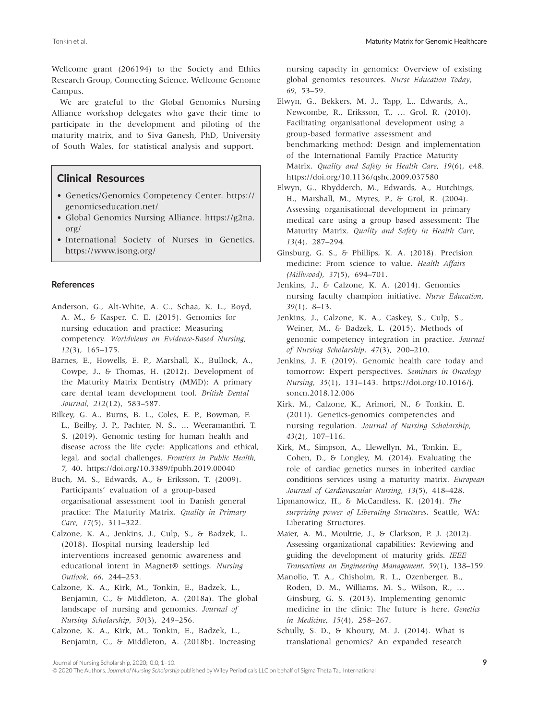Wellcome grant (206194) to the Society and Ethics Research Group, Connecting Science, Wellcome Genome Campus.

We are grateful to the Global Genomics Nursing Alliance workshop delegates who gave their time to participate in the development and piloting of the maturity matrix, and to Siva Ganesh, PhD, University of South Wales, for statistical analysis and support.

# Clinical Resources

- Genetics/Genomics Competency Center. [https://](https://genomicseducation.net/) [genomicseducation.net/](https://genomicseducation.net/)
- Global Genomics Nursing Alliance. [https://g2na.](https://g2na.org/) [org/](https://g2na.org/)
- International Society of Nurses in Genetics. <https://www.isong.org/>

#### **References**

- Anderson, G., Alt-White, A. C., Schaa, K. L., Boyd, A. M., & Kasper, C. E. (2015). Genomics for nursing education and practice: Measuring competency. *Worldviews on Evidence-Based Nursing*, *12*(3), 165–175.
- Barnes, E., Howells, E. P., Marshall, K., Bullock, A., Cowpe, J., & Thomas, H. (2012). Development of the Maturity Matrix Dentistry (MMD): A primary care dental team development tool. *British Dental Journal*, *212*(12), 583–587.
- Bilkey, G. A., Burns, B. L., Coles, E. P., Bowman, F. L., Beilby, J. P., Pachter, N. S., … Weeramanthri, T. S. (2019). Genomic testing for human health and disease across the life cycle: Applications and ethical, legal, and social challenges. *Frontiers in Public Health*, *7*, 40. <https://doi.org/10.3389/fpubh.2019.00040>
- Buch, M. S., Edwards, A., & Eriksson, T. (2009). Participants' evaluation of a group-based organisational assessment tool in Danish general practice: The Maturity Matrix. *Quality in Primary Care*, *17*(5), 311–322.
- Calzone, K. A., Jenkins, J., Culp, S., & Badzek, L. (2018). Hospital nursing leadership led interventions increased genomic awareness and educational intent in Magnet® settings. *Nursing Outlook*, *66*, 244–253.
- Calzone, K. A., Kirk, M., Tonkin, E., Badzek, L., Benjamin, C., & Middleton, A. (2018a). The global landscape of nursing and genomics. *Journal of Nursing Scholarship*, *50*(3), 249–256.
- Calzone, K. A., Kirk, M., Tonkin, E., Badzek, L., Benjamin, C., & Middleton, A. (2018b). Increasing

nursing capacity in genomics: Overview of existing global genomics resources. *Nurse Education Today*, *69*, 53–59.

Elwyn, G., Bekkers, M. J., Tapp, L., Edwards, A., Newcombe, R., Eriksson, T., … Grol, R. (2010). Facilitating organisational development using a group-based formative assessment and benchmarking method: Design and implementation of the International Family Practice Maturity Matrix. *Quality and Safety in Health Care*, *19*(6), e48. <https://doi.org/10.1136/qshc.2009.037580>

- Elwyn, G., Rhydderch, M., Edwards, A., Hutchings, H., Marshall, M., Myres, P., & Grol, R. (2004). Assessing organisational development in primary medical care using a group based assessment: The Maturity Matrix. *Quality and Safety in Health Care*, *13*(4), 287–294.
- Ginsburg, G. S., & Phillips, K. A. (2018). Precision medicine: From science to value. *Health Affairs (Millwood)*, *37*(5), 694–701.
- Jenkins, J., & Calzone, K. A. (2014). Genomics nursing faculty champion initiative. *Nurse Education*, *39*(1), 8–13.
- Jenkins, J., Calzone, K. A., Caskey, S., Culp, S., Weiner, M., & Badzek, L. (2015). Methods of genomic competency integration in practice. *Journal of Nursing Scholarship*, *47*(3), 200–210.
- Jenkins, J. F. (2019). Genomic health care today and tomorrow: Expert perspectives. *Seminars in Oncology Nursing*, *35*(1), 131–143. [https://doi.org/10.1016/j.](https://doi.org/10.1016/j.soncn.2018.12.006) [soncn.2018.12.006](https://doi.org/10.1016/j.soncn.2018.12.006)
- Kirk, M., Calzone, K., Arimori, N., & Tonkin, E. (2011). Genetics-genomics competencies and nursing regulation. *Journal of Nursing Scholarship*, *43*(2), 107–116.
- Kirk, M., Simpson, A., Llewellyn, M., Tonkin, E., Cohen, D., & Longley, M. (2014). Evaluating the role of cardiac genetics nurses in inherited cardiac conditions services using a maturity matrix. *European Journal of Cardiovascular Nursing*, *13*(5), 418–428.
- Lipmanowicz, H., & McCandless, K. (2014). *The surprising power of Liberating Structures*. Seattle, WA: Liberating Structures.

Maier, A. M., Moultrie, J., & Clarkson, P. J. (2012). Assessing organizational capabilities: Reviewing and guiding the development of maturity grids. *IEEE Transactions on Engineering Management*, *59*(1), 138–159.

- Manolio, T. A., Chisholm, R. L., Ozenberger, B., Roden, D. M., Williams, M. S., Wilson, R., … Ginsburg, G. S. (2013). Implementing genomic medicine in the clinic: The future is here. *Genetics in Medicine*, *15*(4), 258–267.
- Schully, S. D., & Khoury, M. J. (2014). What is translational genomics? An expanded research

Journal of Nursing Scholarship, 2020; 0:0, 1–10. **9**

<sup>© 2020</sup> The Authors. *Journal of Nursing Scholarship* published by Wiley Periodicals LLC on behalf of Sigma Theta Tau International